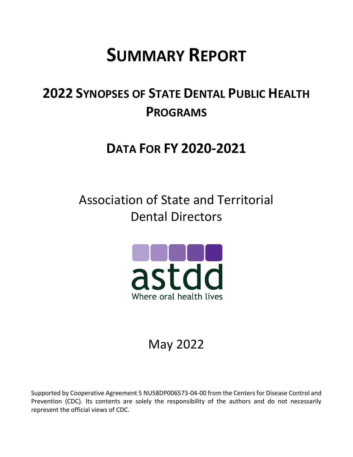# **SUMMARY REPORT**

## **2022 SYNOPSES OF STATE DENTAL PUBLIC HEALTH PROGRAMS**

### **DATA FOR FY 2020-2021**

Association of State and Territorial Dental Directors



## May 2022

Supported by Cooperative Agreement 5 NU58DP006573-04-00 from the Centers for Disease Control and Prevention (CDC). Its contents are solely the responsibility of the authors and do not necessarily represent the official views of CDC.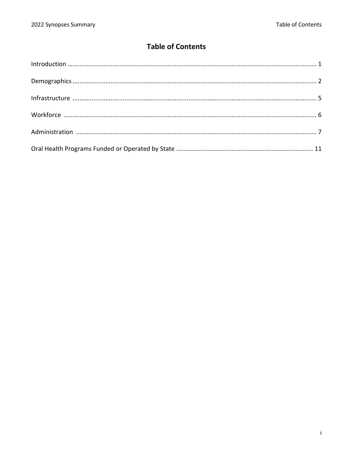### **Table of Contents**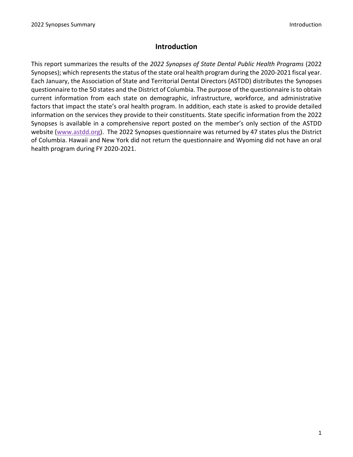#### **Introduction**

This report summarizes the results of the *2022 Synopses of State Dental Public Health Programs* (2022 Synopses); which represents the status of the state oral health program during the 2020-2021 fiscal year. Each January, the Association of State and Territorial Dental Directors (ASTDD) distributes the Synopses questionnaire to the 50 states and the District of Columbia. The purpose of the questionnaire is to obtain current information from each state on demographic, infrastructure, workforce, and administrative factors that impact the state's oral health program. In addition, each state is asked to provide detailed information on the services they provide to their constituents. State specific information from the 2022 Synopses is available in a comprehensive report posted on the member's only section of the ASTDD website [\(www.astdd.org\)](http://www.astdd.org/). The 2022 Synopses questionnaire was returned by 47 states plus the District of Columbia. Hawaii and New York did not return the questionnaire and Wyoming did not have an oral health program during FY 2020-2021.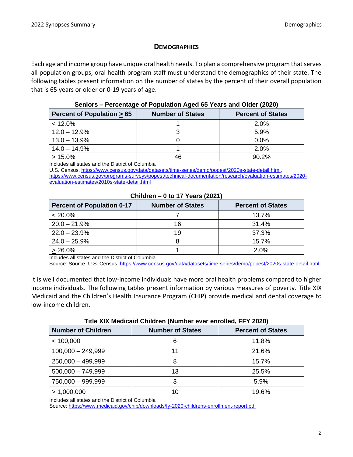#### **DEMOGRAPHICS**

Each age and income group have unique oral health needs. To plan a comprehensive program that serves all population groups, oral health program staff must understand the demographics of their state. The following tables present information on the number of states by the percent of their overall population that is 65 years or older or 0-19 years of age.

#### **Seniors – Percentage of Population Aged 65 Years and Older (2020)**

| Percent of Population $\geq 65$ | <b>Number of States</b> | <b>Percent of States</b> |
|---------------------------------|-------------------------|--------------------------|
| $< 12.0\%$                      |                         | 2.0%                     |
| $12.0 - 12.9%$                  |                         | 5.9%                     |
| $13.0 - 13.9\%$                 |                         | $0.0\%$                  |
| $14.0 - 14.9\%$                 |                         | 2.0%                     |
| $>15.0\%$                       | 46                      | 90.2%                    |

Includes all states and the District of Columbia

U.S. Census, [https://www.census.gov/data/datasets/time-series/demo/popest/2020s-state-detail.html,](https://www.census.gov/data/datasets/time-series/demo/popest/2020s-state-detail.html)

[https://www.census.gov/programs-surveys/popest/technical-documentation/research/evaluation-estimates/2020](https://www.census.gov/programs-surveys/popest/technical-documentation/research/evaluation-estimates/2020-evaluation-estimates/2010s-state-detail.html) [evaluation-estimates/2010s-state-detail.html](https://www.census.gov/programs-surveys/popest/technical-documentation/research/evaluation-estimates/2020-evaluation-estimates/2010s-state-detail.html)

| <b>Percent of Population 0-17</b> | <b>Number of States</b> | <b>Percent of States</b> |
|-----------------------------------|-------------------------|--------------------------|
| $< 20.0\%$                        |                         | 13.7%                    |
| $20.0 - 21.9%$                    | 16                      | 31.4%                    |
| $22.0 - 23.9%$                    | 19                      | 37.3%                    |
| $24.0 - 25.9%$                    |                         | 15.7%                    |
| $> 26.0\%$                        |                         | 2.0%                     |

#### **Children – 0 to 17 Years (2021)**

Includes all states and the District of Columbia

Source: Source: U.S. Census,<https://www.census.gov/data/datasets/time-series/demo/popest/2020s-state-detail.html>

It is well documented that low-income individuals have more oral health problems compared to higher income individuals. The following tables present information by various measures of poverty. Title XIX Medicaid and the Children's Health Insurance Program (CHIP) provide medical and dental coverage to low-income children.

| <b>Number of Children</b> | THE AIA MEURARY CHINE EN HAMMER EVER ENTOIRED, FF I ZUZUT<br><b>Number of States</b> | <b>Percent of States</b> |
|---------------------------|--------------------------------------------------------------------------------------|--------------------------|
| < 100,000                 | 6                                                                                    | 11.8%                    |
| $100,000 - 249,999$       | 11                                                                                   | 21.6%                    |
| $250,000 - 499,999$       | 8                                                                                    | 15.7%                    |
| $500,000 - 749,999$       | 13                                                                                   | 25.5%                    |
| 750,000 - 999,999         | 3                                                                                    | 5.9%                     |
| > 1,000,000               | 10                                                                                   | 19.6%                    |

#### **Title XIX Medicaid Children (Number ever enrolled, FFY 2020)**

Includes all states and the District of Columbia

Source: <https://www.medicaid.gov/chip/downloads/fy-2020-childrens-enrollment-report.pdf>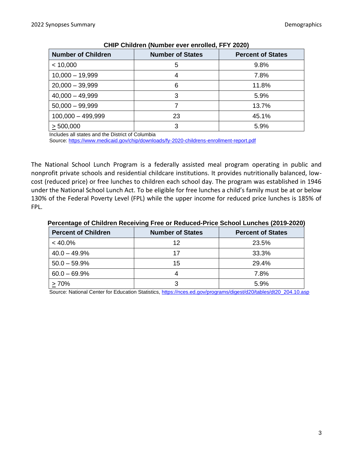| <u>UNIN UNING CHE (NGHINGI UYU UNUUCU, III LULU)</u> |                         |                          |
|------------------------------------------------------|-------------------------|--------------------------|
| <b>Number of Children</b>                            | <b>Number of States</b> | <b>Percent of States</b> |
| < 10,000                                             | 5                       | 9.8%                     |
| $10,000 - 19,999$                                    | 4                       | 7.8%                     |
| $20,000 - 39,999$                                    | 6                       | 11.8%                    |
| $40,000 - 49,999$                                    | 3                       | 5.9%                     |
| $50,000 - 99,999$                                    |                         | 13.7%                    |
| $100,000 - 499,999$                                  | 23                      | 45.1%                    |
| > 500,000                                            | 3                       | 5.9%                     |

#### **CHIP Children (Number ever enrolled, FFY 2020)**

Includes all states and the District of Columbia

Source:<https://www.medicaid.gov/chip/downloads/fy-2020-childrens-enrollment-report.pdf>

The National School Lunch Program is a federally assisted meal program operating in public and nonprofit private schools and residential childcare institutions. It provides nutritionally balanced, lowcost (reduced price) or free lunches to children each school day. The program was established in 1946 under the National School Lunch Act. To be eligible for free lunches a child's family must be at or below 130% of the Federal Poverty Level (FPL) while the upper income for reduced price lunches is 185% of FPL.

#### **Percentage of Children Receiving Free or Reduced-Price School Lunches (2019-2020)**

| <b>Percent of Children</b> | <b>Number of States</b> | <b>Percent of States</b> |
|----------------------------|-------------------------|--------------------------|
| $< 40.0\%$                 | 12                      | 23.5%                    |
| $40.0 - 49.9%$             | 17                      | 33.3%                    |
| $50.0 - 59.9%$             | 15                      | 29.4%                    |
| $60.0 - 69.9%$             |                         | 7.8%                     |
| >70%                       |                         | 5.9%                     |

Source: National Center for Education Statistics[, https://nces.ed.gov/programs/digest/d20/tables/dt20\\_204.10.asp](https://nces.ed.gov/programs/digest/d20/tables/dt20_204.10.asp)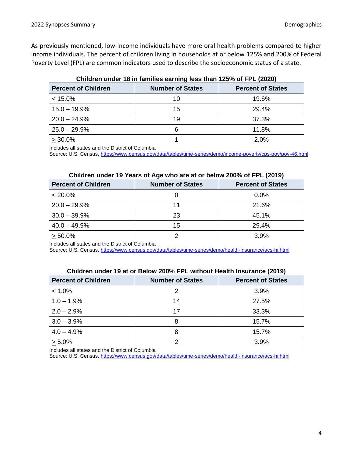As previously mentioned, low-income individuals have more oral health problems compared to higher income individuals. The percent of children living in households at or below 125% and 200% of Federal Poverty Level (FPL) are common indicators used to describe the socioeconomic status of a state.

| Critician Control of the community of the control of the computation of the computation of the computation of the computation of the computation of the computation of the computation of the computation of the computation o |                         |                          |
|--------------------------------------------------------------------------------------------------------------------------------------------------------------------------------------------------------------------------------|-------------------------|--------------------------|
| <b>Percent of Children</b>                                                                                                                                                                                                     | <b>Number of States</b> | <b>Percent of States</b> |
| $< 15.0\%$                                                                                                                                                                                                                     | 10                      | 19.6%                    |
| $15.0 - 19.9%$                                                                                                                                                                                                                 | 15                      | 29.4%                    |
| $20.0 - 24.9%$                                                                                                                                                                                                                 | 19                      | 37.3%                    |
| $25.0 - 29.9%$                                                                                                                                                                                                                 | 6                       | 11.8%                    |
| $>30.0\%$                                                                                                                                                                                                                      |                         | 2.0%                     |

#### **Children under 18 in families earning less than 125% of FPL (2020)**

Includes all states and the District of Columbia

Source: U.S. Census[, https://www.census.gov/data/tables/time-series/demo/income-poverty/cps-pov/pov-46.html](https://www.census.gov/data/tables/time-series/demo/income-poverty/cps-pov/pov-46.html)

#### **Children under 19 Years of Age who are at or below 200% of FPL (2019)**

| <b>Percent of Children</b> | <b>Number of States</b> | <b>Percent of States</b> |
|----------------------------|-------------------------|--------------------------|
| $< 20.0\%$                 |                         | 0.0%                     |
| $20.0 - 29.9%$             | 11                      | 21.6%                    |
| $30.0 - 39.9%$             | 23                      | 45.1%                    |
| $40.0 - 49.9%$             | 15                      | 29.4%                    |
| $> 50.0\%$                 |                         | 3.9%                     |

Includes all states and the District of Columbia

Source: U.S. Census[, https://www.census.gov/data/tables/time-series/demo/health-insurance/acs-hi.html](https://www.census.gov/data/tables/time-series/demo/health-insurance/acs-hi.html)

#### **Children under 19 at or Below 200% FPL without Health Insurance (2019)**

| <b>Percent of Children</b> | <b>Number of States</b> | <b>Percent of States</b> |
|----------------------------|-------------------------|--------------------------|
| $< 1.0\%$                  |                         | 3.9%                     |
| $1.0 - 1.9%$               | 14                      | 27.5%                    |
| $2.0 - 2.9%$               | 17                      | 33.3%                    |
| $3.0 - 3.9%$               |                         | 15.7%                    |
| $4.0 - 4.9%$               |                         | 15.7%                    |
| $> 5.0\%$                  |                         | 3.9%                     |

Includes all states and the District of Columbia

Source: U.S. Census[, https://www.census.gov/data/tables/time-series/demo/health-insurance/acs-hi.html](https://www.census.gov/data/tables/time-series/demo/health-insurance/acs-hi.html)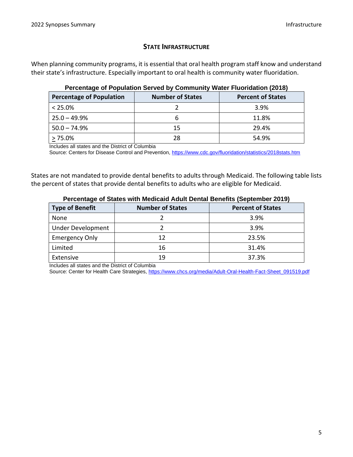#### **STATE INFRASTRUCTURE**

When planning community programs, it is essential that oral health program staff know and understand their state's infrastructure. Especially important to oral health is community water fluoridation.

| <b>Percentage of Population</b> | <b>Number of States</b> | <b>Percent of States</b> |
|---------------------------------|-------------------------|--------------------------|
| $< 25.0\%$                      |                         | 3.9%                     |
| $25.0 - 49.9%$                  |                         | 11.8%                    |
| $50.0 - 74.9%$                  | 15                      | 29.4%                    |
| $> 75.0\%$                      | 28                      | 54.9%                    |

#### **Percentage of Population Served by Community Water Fluoridation (2018)**

Includes all states and the District of Columbia

Source: Centers for Disease Control and Prevention,<https://www.cdc.gov/fluoridation/statistics/2018stats.htm>

States are not mandated to provide dental benefits to adults through Medicaid. The following table lists the percent of states that provide dental benefits to adults who are eligible for Medicaid.

| $\sim$ or comage of clube millimediate radii senium seniume (copionitie) send |                         |                          |
|-------------------------------------------------------------------------------|-------------------------|--------------------------|
| <b>Type of Benefit</b>                                                        | <b>Number of States</b> | <b>Percent of States</b> |
| None                                                                          |                         | 3.9%                     |
| <b>Under Development</b>                                                      |                         | 3.9%                     |
| <b>Emergency Only</b>                                                         | 12                      | 23.5%                    |
| Limited                                                                       | 16                      | 31.4%                    |
| Extensive                                                                     | 19                      | 37.3%                    |

#### **Percentage of States with Medicaid Adult Dental Benefits (September 2019)**

Includes all states and the District of Columbia

Source: Center for Health Care Strategies[, https://www.chcs.org/media/Adult-Oral-Health-Fact-Sheet\\_091519.pdf](https://www.chcs.org/media/Adult-Oral-Health-Fact-Sheet_091519.pdf)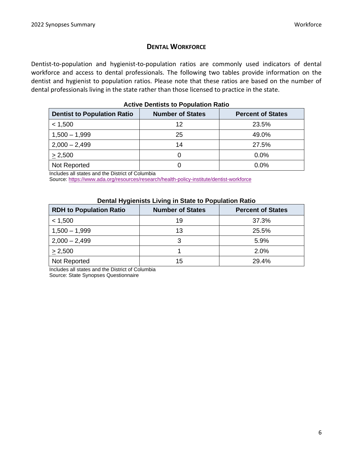#### **DENTAL WORKFORCE**

Dentist-to-population and hygienist-to-population ratios are commonly used indicators of dental workforce and access to dental professionals. The following two tables provide information on the dentist and hygienist to population ratios. Please note that these ratios are based on the number of dental professionals living in the state rather than those licensed to practice in the state.

| <b>Dentist to Population Ratio</b> | <b>Number of States</b> | <b>Percent of States</b> |
|------------------------------------|-------------------------|--------------------------|
| < 1,500                            | 12                      | 23.5%                    |
| $1,500 - 1,999$                    | 25                      | 49.0%                    |
| $2,000 - 2,499$                    | 14                      | 27.5%                    |
| > 2,500                            |                         | 0.0%                     |
| Not Reported                       |                         | 0.0%                     |

| <b>Active Dentists to Population Ratio</b> |  |
|--------------------------------------------|--|
|--------------------------------------------|--|

Includes all states and the District of Columbia

Source:<https://www.ada.org/resources/research/health-policy-institute/dentist-workforce>

| Dental Hygienists Living in State to Population Ratio |  |
|-------------------------------------------------------|--|
|                                                       |  |

| <b>RDH to Population Ratio</b> | <b>Number of States</b> | <b>Percent of States</b> |
|--------------------------------|-------------------------|--------------------------|
| < 1,500                        | 19                      | 37.3%                    |
| $1,500 - 1,999$                | 13                      | 25.5%                    |
| $2,000 - 2,499$                |                         | 5.9%                     |
| > 2,500                        |                         | 2.0%                     |
| Not Reported                   | 15                      | 29.4%                    |

Includes all states and the District of Columbia

Source: State Synopses Questionnaire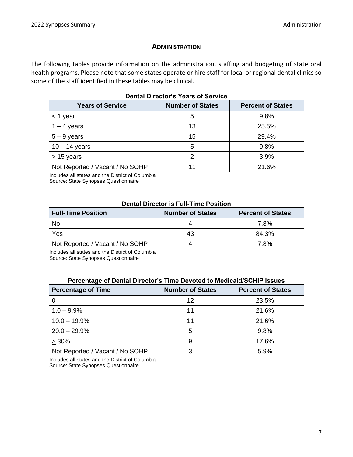#### **ADMINISTRATION**

The following tables provide information on the administration, staffing and budgeting of state oral health programs. Please note that some states operate or hire staff for local or regional dental clinics so some of the staff identified in these tables may be clinical.

| <b>Years of Service</b>         | <b>Number of States</b> | <b>Percent of States</b> |  |  |
|---------------------------------|-------------------------|--------------------------|--|--|
| $<$ 1 year                      | 5                       | 9.8%                     |  |  |
| $1 - 4$ years                   | 13                      | 25.5%                    |  |  |
| $5 - 9$ years                   | 15                      | 29.4%                    |  |  |
| $10 - 14$ years                 | 5                       | 9.8%                     |  |  |
| $> 15$ years                    | 2                       | 3.9%                     |  |  |
| Not Reported / Vacant / No SOHP | 11                      | 21.6%                    |  |  |
|                                 |                         |                          |  |  |

#### **Dental Director's Years of Service**

Includes all states and the District of Columbia

Source: State Synopses Questionnaire

#### **Dental Director is Full-Time Position**

| <b>Full-Time Position</b>       | <b>Number of States</b> | <b>Percent of States</b> |  |
|---------------------------------|-------------------------|--------------------------|--|
| No                              |                         | 7.8%                     |  |
| Yes                             | 43                      | 84.3%                    |  |
| Not Reported / Vacant / No SOHP |                         | 7.8%                     |  |

Includes all states and the District of Columbia

Source: State Synopses Questionnaire

#### **Percentage of Dental Director's Time Devoted to Medicaid/SCHIP Issues**

| <b>Percentage of Time</b>       | <b>Number of States</b> | <b>Percent of States</b> |
|---------------------------------|-------------------------|--------------------------|
|                                 | 12                      | 23.5%                    |
| $1.0 - 9.9%$                    | 11                      | 21.6%                    |
| $10.0 - 19.9%$                  | 11                      | 21.6%                    |
| $20.0 - 29.9%$                  | 5                       | 9.8%                     |
| >30%                            | 9                       | 17.6%                    |
| Not Reported / Vacant / No SOHP |                         | 5.9%                     |

Includes all states and the District of Columbia

Source: State Synopses Questionnaire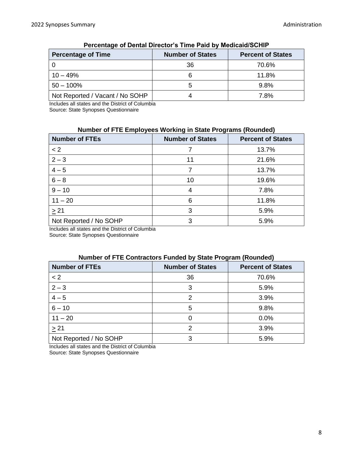| <b>Percentage of Time</b>       | <b>Number of States</b> | <b>Percent of States</b> |
|---------------------------------|-------------------------|--------------------------|
|                                 | 36                      | 70.6%                    |
| $10 - 49%$                      |                         | 11.8%                    |
| $50 - 100\%$                    |                         | 9.8%                     |
| Not Reported / Vacant / No SOHP |                         | 7.8%                     |

#### **Percentage of Dental Director's Time Paid by Medicaid/SCHIP**

Includes all states and the District of Columbia Source: State Synopses Questionnaire

#### **Number of FTE Employees Working in State Programs (Rounded)**

| <b>Number of FTEs</b>  | <b>Number of States</b> | <b>Percent of States</b> |
|------------------------|-------------------------|--------------------------|
| < 2                    |                         | 13.7%                    |
| $2 - 3$                | 11                      | 21.6%                    |
| $4 - 5$                |                         | 13.7%                    |
| $6 - 8$                | 10                      | 19.6%                    |
| $9 - 10$               | 4                       | 7.8%                     |
| $11 - 20$              | 6                       | 11.8%                    |
| $\geq$ 21              | 3                       | 5.9%                     |
| Not Reported / No SOHP | З                       | 5.9%                     |

Includes all states and the District of Columbia

Source: State Synopses Questionnaire

#### **Number of FTE Contractors Funded by State Program (Rounded)**

| <b>Number of FTEs</b>  | <b>Number of States</b> | <b>Percent of States</b> |
|------------------------|-------------------------|--------------------------|
| < 2                    | 36                      | 70.6%                    |
| $2 - 3$                | 3                       | 5.9%                     |
| $4 - 5$                | $\mathcal{P}$           | 3.9%                     |
| $6 - 10$               | 5                       | 9.8%                     |
| $11 - 20$              |                         | 0.0%                     |
| $\geq$ 21              | 2                       | 3.9%                     |
| Not Reported / No SOHP | 3                       | 5.9%                     |

Includes all states and the District of Columbia Source: State Synopses Questionnaire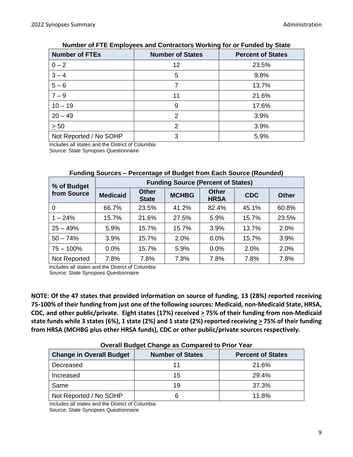| <b>Number of FTEs</b>  | <b>Number of States</b> | <b>Percent of States</b> |
|------------------------|-------------------------|--------------------------|
| $0 - 2$                | 12                      | 23.5%                    |
| $3 - 4$                | 5                       | 9.8%                     |
| $5-6$                  |                         | 13.7%                    |
| $7 - 9$                | 11                      | 21.6%                    |
| $10 - 19$              | 9                       | 17.6%                    |
| $20 - 49$              | 2                       | 3.9%                     |
| $\geq 50$              | 2                       | 3.9%                     |
| Not Reported / No SOHP | 3                       | 5.9%                     |

#### **Number of FTE Employees and Contractors Working for or Funded by State**

Includes all states and the District of Columbia

Source: State Synopses Questionnaire

| % of Budget  | <b>Funding Source (Percent of States)</b> |                              |              |                             |            |              |
|--------------|-------------------------------------------|------------------------------|--------------|-----------------------------|------------|--------------|
| from Source  | <b>Medicaid</b>                           | <b>Other</b><br><b>State</b> | <b>MCHBG</b> | <b>Other</b><br><b>HRSA</b> | <b>CDC</b> | <b>Other</b> |
| 0            | 66.7%                                     | 23.5%                        | 41.2%        | 82.4%                       | 45.1%      | 60.8%        |
| $1 - 24%$    | 15.7%                                     | 21.6%                        | 27.5%        | 5.9%                        | 15.7%      | 23.5%        |
| $25 - 49%$   | 5.9%                                      | 15.7%                        | 15.7%        | 3.9%                        | 13.7%      | 2.0%         |
| $50 - 74%$   | 3.9%                                      | 15.7%                        | 2.0%         | 0.0%                        | 15.7%      | 3.9%         |
| $75 - 100\%$ | 0.0%                                      | 15.7%                        | 5.9%         | 0.0%                        | 2.0%       | 2.0%         |
| Not Reported | 7.8%                                      | 7.8%                         | 7.8%         | 7.8%                        | 7.8%       | 7.8%         |

#### **Funding Sources – Percentage of Budget from Each Source (Rounded)**

Includes all states and the District of Columbia Source: State Synopses Questionnaire

**NOTE: Of the 47 states that provided information on source of funding, 13 (28%) reported receiving 75-100% of their funding from just one of the following sources: Medicaid, non-Medicaid State, HRSA, CDC, and other public/private. Eight states (17%) received > 75% of their funding from non-Medicaid state funds while 3 states (6%), 1 state (2%) and 1 state (2%) reported receiving > 75% of their funding from HRSA (MCHBG plus other HRSA funds), CDC or other public/private sources respectively.**

| <b>Change in Overall Budget</b> | <b>Number of States</b> | <b>Percent of States</b> |
|---------------------------------|-------------------------|--------------------------|
| Decreased                       |                         | 21.6%                    |
| Increased                       | 15                      | 29.4%                    |
| Same                            | 19                      | 37.3%                    |
| Not Reported / No SOHP          |                         | 11.8%                    |

#### **Overall Budget Change as Compared to Prior Year**

Includes all states and the District of Columbia Source: State Synopses Questionnaire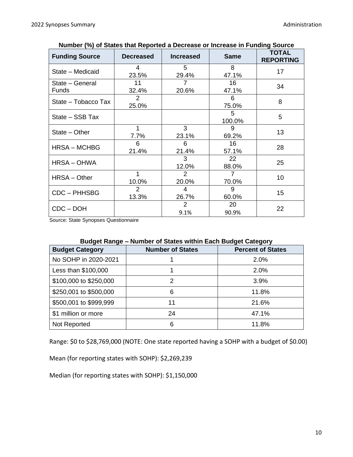| <b>Funding Source</b>           | <b>Decreased</b>        | <b>Increased</b> | <b>Same</b>             | <b>TOTAL</b><br><b>REPORTING</b> |
|---------------------------------|-------------------------|------------------|-------------------------|----------------------------------|
| State - Medicaid                | 4<br>23.5%              | 5<br>29.4%       | 8<br>47.1%              | 17                               |
| State - General<br><b>Funds</b> | 11<br>32.4%             | 7<br>20.6%       | 16<br>47.1%             | 34                               |
| State - Tobacco Tax             | $\overline{2}$<br>25.0% |                  | 6<br>75.0%              | 8                                |
| State – SSB Tax                 |                         |                  | 5<br>100.0%             | 5                                |
| $State - Other$                 | 1<br>7.7%               | 3<br>23.1%       | 9<br>69.2%              | 13                               |
| <b>HRSA - MCHBG</b>             | 6<br>21.4%              | 6<br>21.4%       | 16<br>57.1%             | 28                               |
| <b>HRSA-OHWA</b>                |                         | 3<br>12.0%       | 22<br>88.0%             | 25                               |
| $HRSA - Other$                  | 1<br>10.0%              | 2<br>20.0%       | $\overline{7}$<br>70.0% | 10                               |
| CDC - PHHSBG                    | 2<br>13.3%              | 4<br>26.7%       | 9<br>60.0%              | 15                               |
| $CDC - DOH$                     |                         | 2<br>9.1%        | 20<br>90.9%             | 22                               |

|  |  | Number (%) of States that Reported a Decrease or Increase in Funding Source |  |  |
|--|--|-----------------------------------------------------------------------------|--|--|
|  |  |                                                                             |  |  |

Source: State Synopses Questionnaire

#### **Budget Range – Number of States within Each Budget Category**

| <b>Budget Category</b> | <b>Number of States</b> | 3. <u>. .</u><br><b>Percent of States</b> |  |  |
|------------------------|-------------------------|-------------------------------------------|--|--|
|                        |                         |                                           |  |  |
| No SOHP in 2020-2021   |                         | 2.0%                                      |  |  |
| Less than \$100,000    |                         | 2.0%                                      |  |  |
| \$100,000 to \$250,000 | 2                       | 3.9%                                      |  |  |
| \$250,001 to \$500,000 | 6                       | 11.8%                                     |  |  |
| \$500,001 to \$999,999 | 11                      | 21.6%                                     |  |  |
| \$1 million or more    | 24                      | 47.1%                                     |  |  |
| Not Reported           | 6                       | 11.8%                                     |  |  |

Range: \$0 to \$28,769,000 (NOTE: One state reported having a SOHP with a budget of \$0.00)

Mean (for reporting states with SOHP): \$2,269,239

Median (for reporting states with SOHP): \$1,150,000